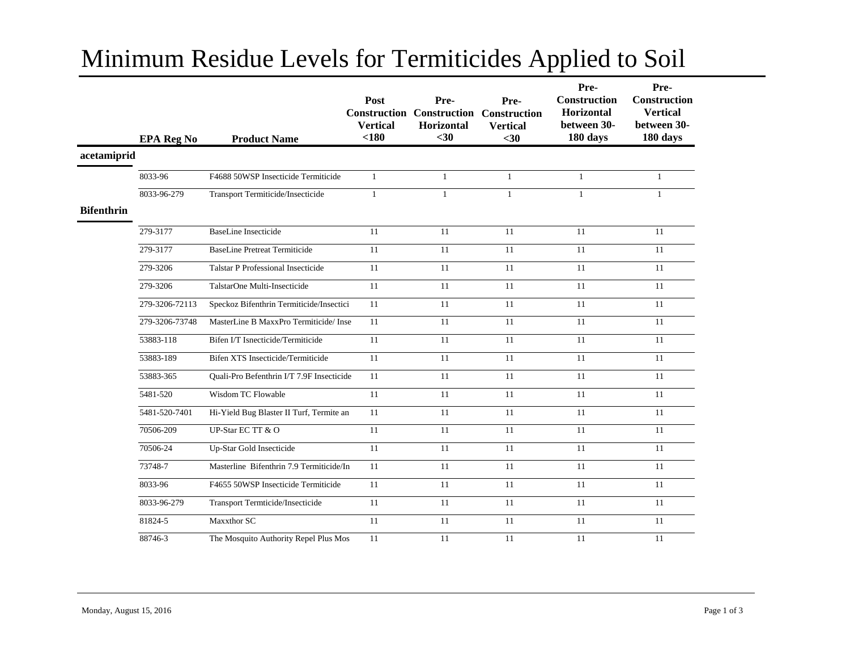## Minimum Residue Levels for Termiticides Applied to Soil

|                   | <b>EPA Reg No</b> | <b>Product Name</b>                       | Post<br><b>Construction</b><br><b>Vertical</b><br>< 180 | Pre-<br><b>Construction</b><br>Horizontal<br>$30$ | Pre-<br><b>Construction</b><br><b>Vertical</b><br>$30$ | Pre-<br>Construction<br>Horizontal<br>between 30-<br>180 days | Pre-<br>Construction<br><b>Vertical</b><br>between 30-<br>180 days |
|-------------------|-------------------|-------------------------------------------|---------------------------------------------------------|---------------------------------------------------|--------------------------------------------------------|---------------------------------------------------------------|--------------------------------------------------------------------|
| acetamiprid       |                   |                                           |                                                         |                                                   |                                                        |                                                               |                                                                    |
|                   | 8033-96           | F4688 50WSP Insecticide Termiticide       | $\mathbf{1}$                                            | $\mathbf{1}$                                      | $\mathbf{1}$                                           | $\mathbf{1}$                                                  | $\mathbf{1}$                                                       |
|                   | 8033-96-279       | Transport Termiticide/Insecticide         | $\mathbf{1}$                                            | $\mathbf{1}$                                      | $\mathbf{1}$                                           | $\mathbf{1}$                                                  | $\mathbf{1}$                                                       |
| <b>Bifenthrin</b> |                   |                                           |                                                         |                                                   |                                                        |                                                               |                                                                    |
|                   | 279-3177          | <b>BaseLine Insecticide</b>               | 11                                                      | 11                                                | 11                                                     | 11                                                            | 11                                                                 |
|                   | 279-3177          | <b>BaseLine Pretreat Termiticide</b>      | 11                                                      | 11                                                | 11                                                     | 11                                                            | 11                                                                 |
|                   | 279-3206          | <b>Talstar P Professional Insecticide</b> | 11                                                      | 11                                                | 11                                                     | 11                                                            | 11                                                                 |
|                   | 279-3206          | TalstarOne Multi-Insecticide              | 11                                                      | 11                                                | 11                                                     | 11                                                            | 11                                                                 |
|                   | 279-3206-72113    | Speckoz Bifenthrin Termiticide/Insectici  | 11                                                      | 11                                                | 11                                                     | 11                                                            | 11                                                                 |
|                   | 279-3206-73748    | MasterLine B MaxxPro Termiticide/ Inse    | 11                                                      | 11                                                | 11                                                     | 11                                                            | 11                                                                 |
|                   | 53883-118         | Bifen I/T Isnecticide/Termiticide         | 11                                                      | 11                                                | 11                                                     | 11                                                            | 11                                                                 |
|                   | 53883-189         | Bifen XTS Insecticide/Termiticide         | 11                                                      | 11                                                | 11                                                     | 11                                                            | 11                                                                 |
|                   | 53883-365         | Quali-Pro Befenthrin I/T 7.9F Insecticide | 11                                                      | 11                                                | 11                                                     | 11                                                            | 11                                                                 |
|                   | 5481-520          | Wisdom TC Flowable                        | 11                                                      | 11                                                | 11                                                     | 11                                                            | 11                                                                 |
|                   | 5481-520-7401     | Hi-Yield Bug Blaster II Turf, Termite an  | 11                                                      | 11                                                | 11                                                     | 11                                                            | 11                                                                 |
|                   | 70506-209         | UP-Star EC TT & O                         | 11                                                      | 11                                                | 11                                                     | 11                                                            | 11                                                                 |
|                   | 70506-24          | Up-Star Gold Insecticide                  | 11                                                      | 11                                                | 11                                                     | 11                                                            | 11                                                                 |
|                   | 73748-7           | Masterline Bifenthrin 7.9 Termiticide/In  | 11                                                      | 11                                                | 11                                                     | 11                                                            | 11                                                                 |
|                   | 8033-96           | F4655 50WSP Insecticide Termiticide       | 11                                                      | 11                                                | 11                                                     | 11                                                            | 11                                                                 |
|                   | 8033-96-279       | Transport Termticide/Insecticide          | 11                                                      | 11                                                | 11                                                     | 11                                                            | 11                                                                 |
|                   | 81824-5           | Maxxthor SC                               | 11                                                      | 11                                                | 11                                                     | 11                                                            | 11                                                                 |
|                   | 88746-3           | The Mosquito Authority Repel Plus Mos     | 11                                                      | 11                                                | 11                                                     | 11                                                            | 11                                                                 |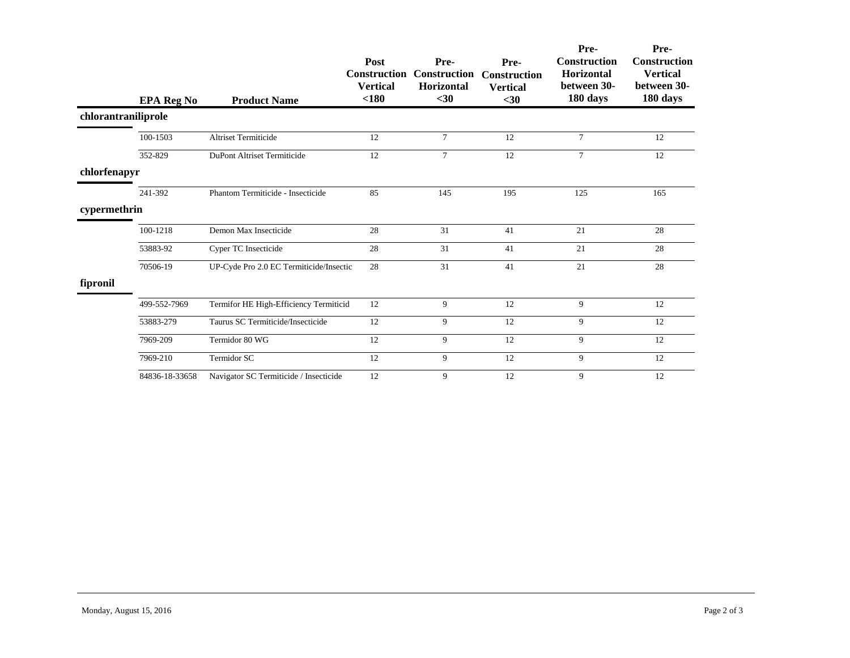|                     | <b>EPA Reg No</b> | <b>Product Name</b>                     | Post<br><b>Construction</b><br><b>Vertical</b><br>$180$ | Pre-<br><b>Construction</b><br>Horizontal<br>$30$ | Pre-<br><b>Construction</b><br><b>Vertical</b><br>$30$ | Pre-<br>Construction<br><b>Horizontal</b><br>between 30-<br>180 days | Pre-<br><b>Construction</b><br><b>Vertical</b><br>between 30-<br>180 days |
|---------------------|-------------------|-----------------------------------------|---------------------------------------------------------|---------------------------------------------------|--------------------------------------------------------|----------------------------------------------------------------------|---------------------------------------------------------------------------|
| chlorantraniliprole |                   |                                         |                                                         |                                                   |                                                        |                                                                      |                                                                           |
|                     | 100-1503          | <b>Altriset Termiticide</b>             | 12                                                      | $7\phantom{.0}$                                   | 12                                                     | $\tau$                                                               | 12                                                                        |
|                     | 352-829           | DuPont Altriset Termiticide             | 12                                                      | 7                                                 | 12                                                     | $\tau$                                                               | 12                                                                        |
| chlorfenapyr        |                   |                                         |                                                         |                                                   |                                                        |                                                                      |                                                                           |
|                     | 241-392           | Phantom Termiticide - Insecticide       | 85                                                      | 145                                               | 195                                                    | 125                                                                  | 165                                                                       |
| cypermethrin        |                   |                                         |                                                         |                                                   |                                                        |                                                                      |                                                                           |
|                     | 100-1218          | Demon Max Insecticide                   | 28                                                      | 31                                                | 41                                                     | 21                                                                   | 28                                                                        |
|                     | 53883-92          | Cyper TC Insecticide                    | 28                                                      | 31                                                | 41                                                     | 21                                                                   | 28                                                                        |
|                     | 70506-19          | UP-Cyde Pro 2.0 EC Termiticide/Insectic | 28                                                      | 31                                                | 41                                                     | 21                                                                   | 28                                                                        |
| fipronil            |                   |                                         |                                                         |                                                   |                                                        |                                                                      |                                                                           |
|                     | 499-552-7969      | Termifor HE High-Efficiency Termiticid  | 12                                                      | 9                                                 | 12                                                     | 9                                                                    | 12                                                                        |
|                     | 53883-279         | Taurus SC Termiticide/Insecticide       | 12                                                      | 9                                                 | 12                                                     | 9                                                                    | 12                                                                        |
|                     | 7969-209          | Termidor 80 WG                          | 12                                                      | 9                                                 | 12                                                     | 9                                                                    | 12                                                                        |
|                     | 7969-210          | Termidor SC                             | 12                                                      | 9                                                 | 12                                                     | 9                                                                    | 12                                                                        |
|                     | 84836-18-33658    | Navigator SC Termiticide / Insecticide  | 12                                                      | 9                                                 | 12                                                     | 9                                                                    | 12                                                                        |